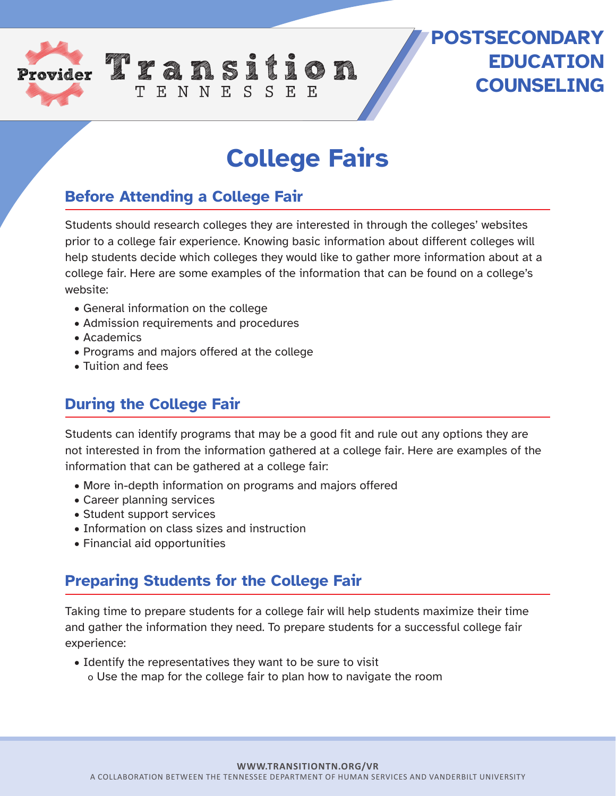

## **College Fairs**

**POSTSECONDARY**

**EDUCATION** 

**COUNSELING**

## **Before Attending a College Fair**

TENNESSEE

Students should research colleges they are interested in through the colleges' websites prior to a college fair experience. Knowing basic information about different colleges will help students decide which colleges they would like to gather more information about at a college fair. Here are some examples of the information that can be found on a college's website:

- General information on the college
- Admission requirements and procedures
- Academics
- Programs and majors offered at the college
- Tuition and fees

## **During the College Fair**

Students can identify programs that may be a good fit and rule out any options they are not interested in from the information gathered at a college fair. Here are examples of the information that can be gathered at a college fair:

- More in-depth information on programs and majors offered
- Career planning services
- Student support services
- Information on class sizes and instruction
- Financial aid opportunities

## **Preparing Students for the College Fair**

Taking time to prepare students for a college fair will help students maximize their time and gather the information they need. To prepare students for a successful college fair experience:

• Identify the representatives they want to be sure to visit o Use the map for the college fair to plan how to navigate the room

**WWW.TRANSITIONTN.ORG/VR**

A COLLABORATION BETWEEN THE TENNESSEE DEPARTMENT OF HUMAN SERVICES AND VANDERBILT UNIVERSITY